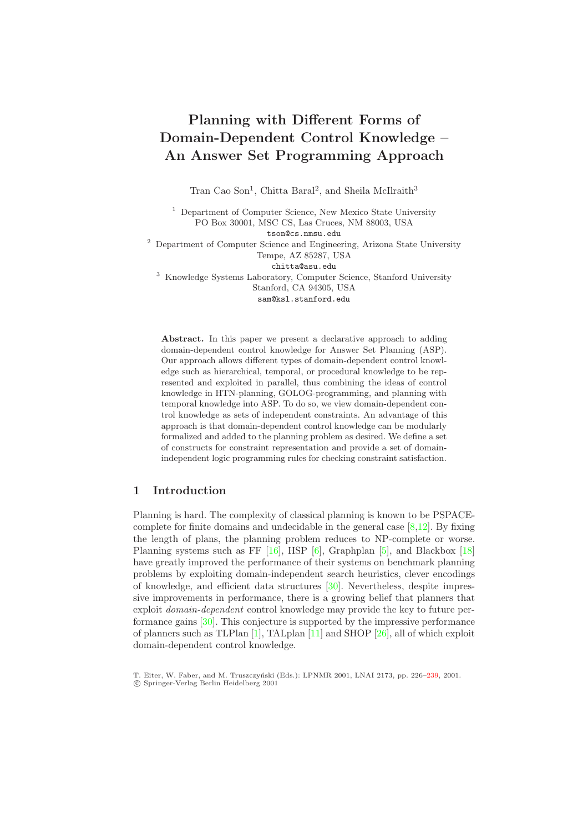# <span id="page-0-1"></span><span id="page-0-0"></span>**Planning with Different Forms of Domain-Dependent Control Knowledge – An Answer Set Programming Approach**

Tran Cao Son<sup>1</sup>, Chitta Baral<sup>2</sup>, and Sheila McIlraith<sup>3</sup>

<sup>1</sup> Department of Computer Science, New Mexico State University PO Box 30001, MSC CS, Las Cruces, NM 88003, USA tson@cs.nmsu.edu

<sup>2</sup> Department of Computer Science and Engineering, Arizona State University Tempe, AZ 85287, USA

chitta@asu.edu

<sup>3</sup> Knowledge Systems Laboratory, Computer Science, Stanford University Stanford, CA 94305, USA

sam@ksl.stanford.edu

Abstract. In this paper we present a declarative approach to adding domain-dependent control knowledge for Answer Set Planning (ASP). Our approach allows different types of domain-dependent control knowledge such as hierarchical, temporal, or procedural knowledge to be represented and exploited in parallel, thus combining the ideas of control knowledge in HTN-planning, GOLOG-programming, and planning with temporal knowledge into ASP. To do so, we view domain-dependent control knowledge as sets of independent constraints. An advantage of this approach is that domain-dependent control knowledge can be modularly formalized and added to the planning problem as desired. We define a set of constructs for constraint representation and provide a set of domainindependent logic programming rules for checking constraint satisfaction.

## **1 Introduction**

Planning is hard. The complexity of classical planning is known to be PSPACEcomplete for finite domains and undecidable in the general case  $[8,12]$  $[8,12]$ . By fixing the length of plans, the planning problem reduces to NP-complete or worse. Planning systems such as FF  $[16]$ , HSP  $[6]$ , Graphplan  $[5]$ , and Blackbox  $[18]$ have greatly improved the performance of their systems on benchmark planning problems by exploiting domain-independent search heuristics, clever encodings of knowledge, and efficient data structures [\[30\]](#page-13-3). Nevertheless, despite impressive improvements in performance, there is a growing belief that planners that exploit *domain-dependent* control knowledge may provide the key to future performance gains [\[30\]](#page-13-3). This conjecture is supported by the impressive performance of planners such as TLPlan [\[1\]](#page-12-3), TALplan [\[11\]](#page-13-4) and SHOP [\[26\]](#page-13-5), all of which exploit domain-dependent control knowledge.

c Springer-Verlag Berlin Heidelberg 2001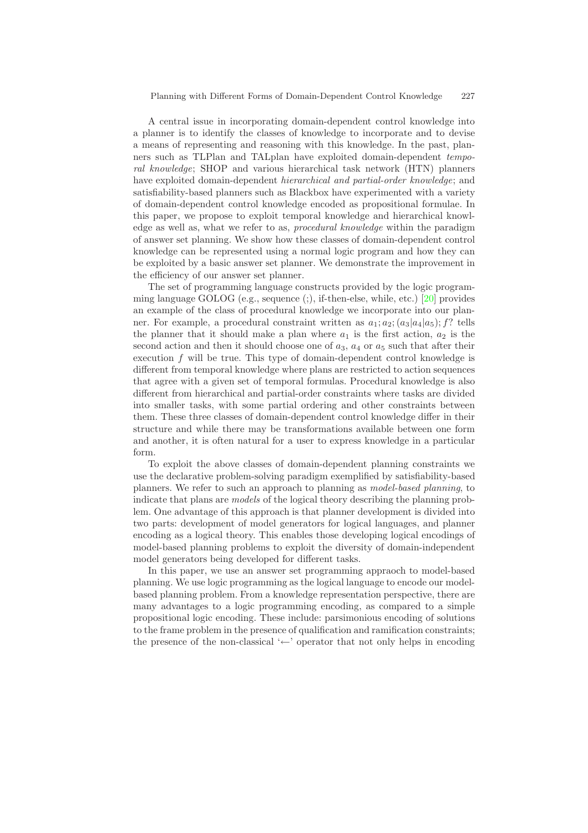<span id="page-1-0"></span>A central issue in incorporating domain-dependent control knowledge into a planner is to identify the classes of knowledge to incorporate and to devise a means of representing and reasoning with this knowledge. In the past, planners such as TLPlan and TALplan have exploited domain-dependent *temporal knowledge*; SHOP and various hierarchical task network (HTN) planners have exploited domain-dependent *hierarchical and partial-order knowledge*; and satisfiability-based planners such as Blackbox have experimented with a variety of domain-dependent control knowledge encoded as propositional formulae. In this paper, we propose to exploit temporal knowledge and hierarchical knowledge as well as, what we refer to as, *procedural knowledge* within the paradigm of answer set planning. We show how these classes of domain-dependent control knowledge can be represented using a normal logic program and how they can be exploited by a basic answer set planner. We demonstrate the improvement in the efficiency of our answer set planner.

The set of programming language constructs provided by the logic program-ming language GOLOG (e.g., sequence (;), if-then-else, while, etc.) [\[20\]](#page-13-7) provides an example of the class of procedural knowledge we incorporate into our planner. For example, a procedural constraint written as  $a_1: a_2: (a_3|a_4|a_5): f$ ? tells the planner that it should make a plan where  $a_1$  is the first action,  $a_2$  is the second action and then it should choose one of  $a_3$ ,  $a_4$  or  $a_5$  such that after their execution f will be true. This type of domain-dependent control knowledge is different from temporal knowledge where plans are restricted to action sequences that agree with a given set of temporal formulas. Procedural knowledge is also different from hierarchical and partial-order constraints where tasks are divided into smaller tasks, with some partial ordering and other constraints between them. These three classes of domain-dependent control knowledge differ in their structure and while there may be transformations available between one form and another, it is often natural for a user to express knowledge in a particular form.

To exploit the above classes of domain-dependent planning constraints we use the declarative problem-solving paradigm exemplified by satisfiability-based planners. We refer to such an approach to planning as *model-based planning*, to indicate that plans are *models* of the logical theory describing the planning problem. One advantage of this approach is that planner development is divided into two parts: development of model generators for logical languages, and planner encoding as a logical theory. This enables those developing logical encodings of model-based planning problems to exploit the diversity of domain-independent model generators being developed for different tasks.

In this paper, we use an answer set programming appraoch to model-based planning. We use logic programming as the logical language to encode our modelbased planning problem. From a knowledge representation perspective, there are many advantages to a logic programming encoding, as compared to a simple propositional logic encoding. These include: parsimonious encoding of solutions to the frame problem in the presence of qualification and ramification constraints; the presence of the non-classical ' $\leftarrow$ ' operator that not only helps in encoding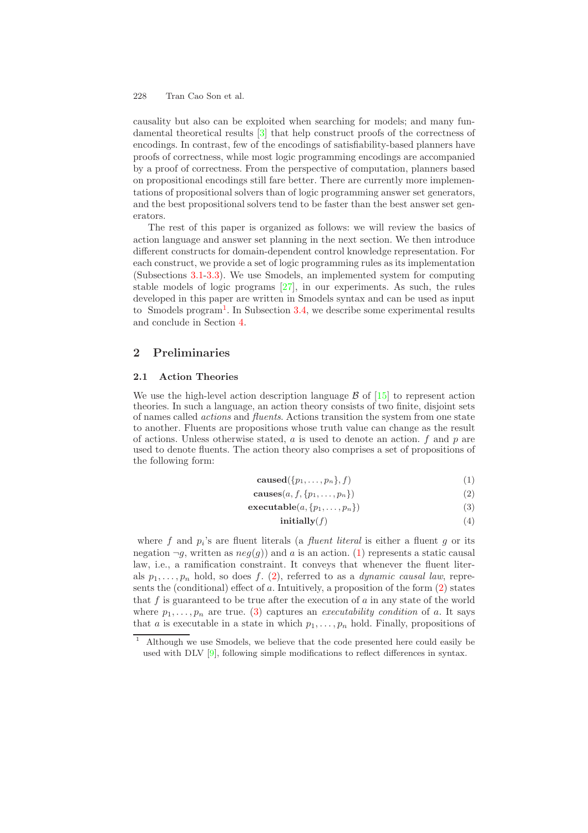<span id="page-2-4"></span><span id="page-2-3"></span>causality but also can be exploited when searching for models; and many fundamental theoretical results [\[3\]](#page-12-4) that help construct proofs of the correctness of encodings. In contrast, few of the encodings of satisfiability-based planners have proofs of correctness, while most logic programming encodings are accompanied by a proof of correctness. From the perspective of computation, planners based on propositional encodings still fare better. There are currently more implementations of propositional solvers than of logic programming answer set generators, and the best propositional solvers tend to be faster than the best answer set generators.

The rest of this paper is organized as follows: we will review the basics of action language and answer set planning in the next section. We then introduce different constructs for domain-dependent control knowledge representation. For each construct, we provide a set of logic programming rules as its implementation (Subsections [3.1-](#page-5-0)[3.3\)](#page-9-0). We use Smodels, an implemented system for computing stable models of logic programs [\[27\]](#page-13-8), in our experiments. As such, the rules developed in this paper are written in Smodels syntax and can be used as input to Smodels program<sup>[1](#page-2-0)</sup>. In Subsection [3.4,](#page-10-0) we describe some experimental results and conclude in Section [4.](#page-11-0)

## **2 Preliminaries**

#### **2.1 Action Theories**

<span id="page-2-1"></span><span id="page-2-0"></span>We use the high-level action description language  $\beta$  of  $[15]$  to represent action theories. In such a language, an action theory consists of two finite, disjoint sets of names called *actions* and *fluents*. Actions transition the system from one state to another. Fluents are propositions whose truth value can change as the result of actions. Unless otherwise stated,  $a$  is used to denote an action.  $f$  and  $p$  are used to denote fluents. The action theory also comprises a set of propositions of the following form:

<span id="page-2-2"></span>
$$
caused({p_1,\ldots,p_n},f) \tag{1}
$$

$$
causes(a, f, \{p_1, \ldots, p_n\})
$$
\n(2)

$$
\textbf{executeable}(a, \{p_1, \ldots, p_n\})\tag{3}
$$

$$
initially(f) \tag{4}
$$

where f and  $p_i$ 's are fluent literals (a *fluent literal* is either a fluent g or its negation  $\neg g$ , written as  $neg(g)$  and a is an action. [\(1\)](#page-2-1) represents a static causal law, i.e., a ramification constraint. It conveys that whenever the fluent literals  $p_1, \ldots, p_n$  hold, so does f. [\(2\)](#page-2-1), referred to as a *dynamic causal law*, represents the (conditional) effect of a. Intuitively, a proposition of the form  $(2)$  states that  $f$  is guaranteed to be true after the execution of  $a$  in any state of the world where  $p_1, \ldots, p_n$  are true. [\(3\)](#page-2-1) captures an *executability condition* of a. It says that a is executable in a state in which  $p_1, \ldots, p_n$  hold. Finally, propositions of

<sup>1</sup> Although we use Smodels, we believe that the code presented here could easily be used with DLV [\[9\]](#page-12-5), following simple modifications to reflect differences in syntax.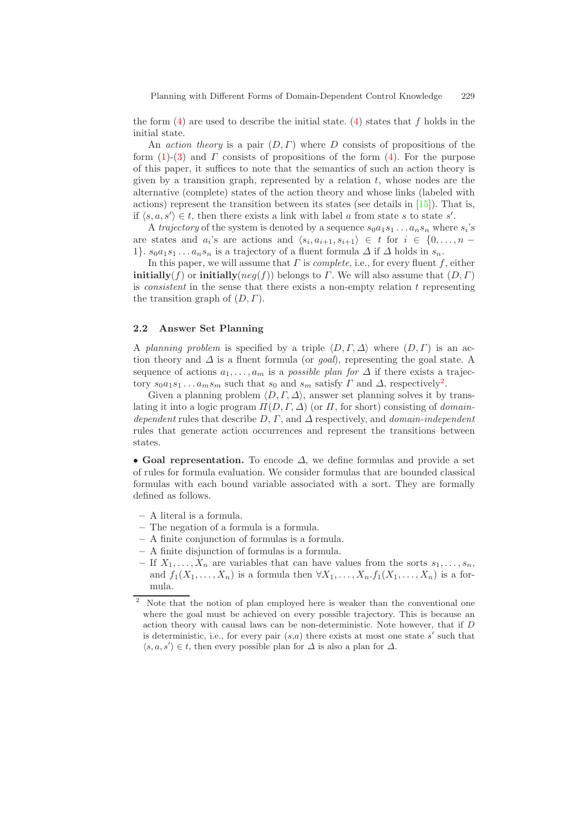<span id="page-3-1"></span>the form  $(4)$  are used to describe the initial state.  $(4)$  states that f holds in the initial state.

An *action theory* is a pair  $(D, \Gamma)$  where D consists of propositions of the form  $(1)-(3)$  $(1)-(3)$  $(1)-(3)$  and  $\Gamma$  consists of propositions of the form  $(4)$ . For the purpose of this paper, it suffices to note that the semantics of such an action theory is given by a transition graph, represented by a relation  $t$ , whose nodes are the alternative (complete) states of the action theory and whose links (labeled with actions) represent the transition between its states (see details in [\[15\]](#page-13-10)). That is, if  $\langle s, a, s' \rangle \in t$ , then there exists a link with label a from state s to state s'.

A *trajectory* of the system is denoted by a sequence  $s_0a_1s_1 \ldots a_ns_n$  where  $s_i$ 's are states and  $a_i$ 's are actions and  $\langle s_i, a_{i+1}, s_{i+1} \rangle \in t$  for  $i \in \{0, ..., n -$ 1}.  $s_0a_1s_1 \ldots a_ns_n$  is a trajectory of a fluent formula  $\Delta$  if  $\Delta$  holds in  $s_n$ .

In this paper, we will assume that  $\Gamma$  is *complete*, i.e., for every fluent  $f$ , either **initially**(f) or **initially**( $neg(f)$ ) belongs to Γ. We will also assume that  $(D, \Gamma)$ is *consistent* in the sense that there exists a non-empty relation t representing the transition graph of  $(D, \Gamma)$ .

#### **2.2 Answer Set Planning**

A *planning problem* is specified by a triple  $\langle D, \Gamma, \Delta \rangle$  where  $(D, \Gamma)$  is an action theory and ∆ is a fluent formula (or *goal*), representing the goal state. A sequence of actions  $a_1, \ldots, a_m$  is a *possible plan for*  $\Delta$  if there exists a trajectory  $s_0a_1s_1 \tldots a_ms_m$  such that  $s_0$  and  $s_m$  satisfy  $\Gamma$  and  $\Delta$ , respectively<sup>[2](#page-3-0)</sup>.

<span id="page-3-0"></span>Given a planning problem  $\langle D, \Gamma, \Delta \rangle$ , answer set planning solves it by translating it into a logic program  $\Pi(D, \Gamma, \Delta)$  (or  $\Pi$ , for short) consisting of *domaindependent* rules that describe D, Γ, and ∆ respectively, and *domain-independent* rules that generate action occurrences and represent the transitions between states.

• **Goal representation.** To encode ∆, we define formulas and provide a set of rules for formula evaluation. We consider formulas that are bounded classical formulas with each bound variable associated with a sort. They are formally defined as follows.

- **–** A literal is a formula.
- **–** The negation of a formula is a formula.
- **–** A finite conjunction of formulas is a formula.
- **–** A finite disjunction of formulas is a formula.
- $-$  If  $X_1, \ldots, X_n$  are variables that can have values from the sorts  $s_1, \ldots, s_n$ , and  $f_1(X_1,\ldots,X_n)$  is a formula then  $\forall X_1,\ldots,X_n$ .  $f_1(X_1,\ldots,X_n)$  is a formula.

<sup>&</sup>lt;sup>2</sup> Note that the notion of plan employed here is weaker than the conventional one where the goal must be achieved on every possible trajectory. This is because an action theory with causal laws can be non-deterministic. Note however, that if D is deterministic, i.e., for every pair  $(s,a)$  there exists at most one state s' such that  $\langle s, a, s' \rangle \in t$ , then every possible plan for  $\Delta$  is also a plan for  $\Delta$ .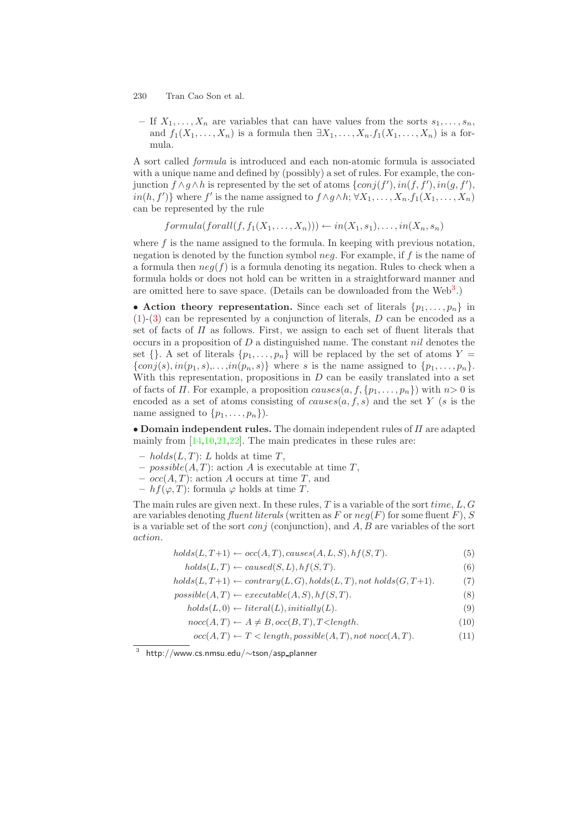<span id="page-4-3"></span><span id="page-4-2"></span>– If  $X_1, \ldots, X_n$  are variables that can have values from the sorts  $s_1, \ldots, s_n$ , and  $f_1(X_1,\ldots,X_n)$  is a formula then  $\exists X_1,\ldots,X_n$ .  $f_1(X_1,\ldots,X_n)$  is a formula.

A sort called *formula* is introduced and each non-atomic formula is associated with a unique name and defined by (possibly) a set of rules. For example, the conjunction  $f \wedge g \wedge h$  is represented by the set of atoms  $\{conj(f'), in(f, f'), in(g, f'),\}$  $in(h, f')\}$  where f' is the name assigned to  $f \wedge g \wedge h$ ;  $\forall X_1, \ldots, X_n$ ,  $f_1(X_1, \ldots, X_n)$ can be represented by the rule

 $formula(forall(f, f_1(X_1,...,X_n))) \leftarrow in(X_1, s_1), \ldots, in(X_n, s_n)$ 

where  $f$  is the name assigned to the formula. In keeping with previous notation, negation is denoted by the function symbol neg. For example, if f is the name of a formula then  $neg(f)$  is a formula denoting its negation. Rules to check when a formula holds or does not hold can be written in a straightforward manner and are omitted here to save space. (Details can be downloaded from the  $Web^3$  $Web^3$ .)

• **Action theory representation.** Since each set of literals  $\{p_1, \ldots, p_n\}$  in  $(1)-(3)$  $(1)-(3)$  $(1)-(3)$  can be represented by a conjunction of literals, D can be encoded as a set of facts of  $\Pi$  as follows. First, we assign to each set of fluent literals that occurs in a proposition of  $D$  a distinguished name. The constant nil denotes the set  $\{\}\$ . A set of literals  $\{p_1,\ldots,p_n\}$  will be replaced by the set of atoms  $Y =$  ${conj(s), in(p_1, s), \ldots, in(p_n, s)}$  where s is the name assigned to  ${p_1, \ldots, p_n}$ . With this representation, propositions in  $D$  can be easily translated into a set of facts of  $\Pi$ . For example, a proposition causes $(a, f, \{p_1, \ldots, p_n\})$  with  $n>0$  is encoded as a set of atoms consisting of  $causes(a, f, s)$  and the set Y (s is the name assigned to  $\{p_1, \ldots, p_n\}$ .

• **Domain independent rules.** The domain independent rules of Π are adapted mainly from  $[14,10,21,22]$  $[14,10,21,22]$  $[14,10,21,22]$  $[14,10,21,22]$ . The main predicates in these rules are:

- <span id="page-4-0"></span> $– holds(L, T)$ : L holds at time T,
- $-posible(A, T)$ : action A is executable at time T,
- $-$  *occ*(*A,T*): action *A* occurs at time *T*, and
- $hf(\varphi, T)$ : formula  $\varphi$  holds at time T.

<span id="page-4-1"></span>The main rules are given next. In these rules,  $T$  is a variable of the sort  $time, L, G$ are variables denoting *fluent literals* (written as F or  $neg(F)$  for some fluent F), S is a variable set of the sort *conj* (conjunction), and  $A, B$  are variables of the sort action.

$$
holds(L, T+1) \leftarrow occ(A, T), causes(A, L, S), hf(S, T). \tag{5}
$$

$$
holds(L, T) \leftarrow caused(S, L), h f(S, T). \tag{6}
$$

$$
holds(L, T+1) \leftarrow contrary(L, G), holds(L, T), not holds(G, T+1). \tag{7}
$$

$$
possible(A, T) \leftarrow executeable(A, S), h f(S, T). \tag{8}
$$

$$
holds(L,0) \leftarrow literal(L), initially(L). \tag{9}
$$

$$
nocc(A, T) \leftarrow A \neq B, occ(B, T), T < length. \tag{10}
$$

$$
occ(A, T) \leftarrow T < length, possible(A, T), not\ nocc(A, T). \tag{11}
$$

<sup>3</sup> http://www.cs.nmsu.edu/∼tson/asp planner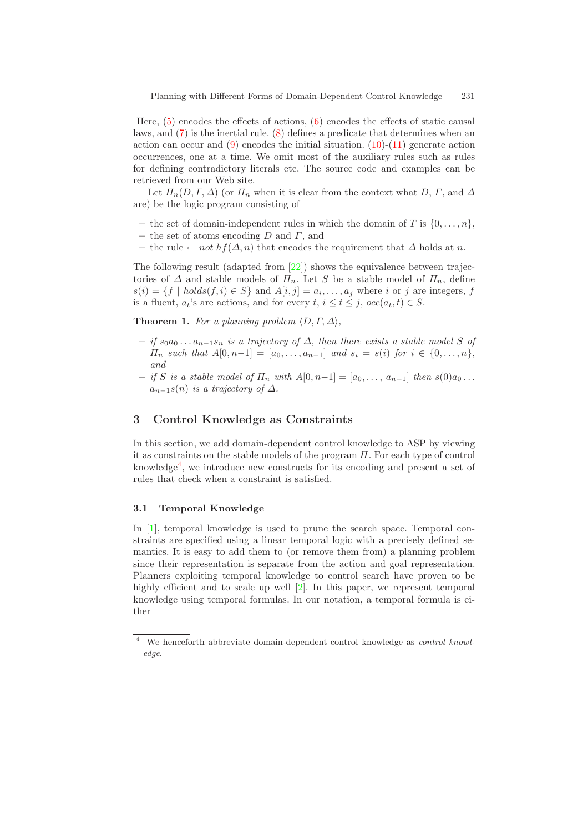<span id="page-5-4"></span><span id="page-5-3"></span>Here,  $(5)$  encodes the effects of actions,  $(6)$  encodes the effects of static causal laws, and [\(7\)](#page-4-1) is the inertial rule. [\(8\)](#page-4-1) defines a predicate that determines when an action can occur and  $(9)$  encodes the initial situation.  $(10)-(11)$  $(10)-(11)$  $(10)-(11)$  generate action occurrences, one at a time. We omit most of the auxiliary rules such as rules for defining contradictory literals etc. The source code and examples can be retrieved from our Web site.

Let  $\Pi_n(D, \Gamma, \Delta)$  (or  $\Pi_n$  when it is clear from the context what D,  $\Gamma$ , and  $\Delta$ are) be the logic program consisting of

- the set of domain-independent rules in which the domain of T is  $\{0,\ldots,n\}$ ,
- **–** the set of atoms encoding D and Γ, and
- <span id="page-5-2"></span>**–** the rule ← not hf(∆, n) that encodes the requirement that ∆ holds at n.

The following result (adapted from [\[22\]](#page-13-14)) shows the equivalence between trajectories of  $\Delta$  and stable models of  $\Pi_n$ . Let S be a stable model of  $\Pi_n$ , define  $s(i) = \{f \mid holds(f, i) \in S\}$  and  $A[i, j] = a_i, \ldots, a_j$  where i or j are integers, f is a fluent,  $a_t$ 's are actions, and for every  $t, i \leq t \leq j$ ,  $occ(a_t, t) \in S$ .

**Theorem 1.** *For a planning problem*  $\langle D, \Gamma, \Delta \rangle$ ,

- $-$  *if*  $s_0a_0...a_{n-1}s_n$  *is a trajectory of*  $\Delta$ *, then there exists a stable model* S *of*  $\Pi_n$  *such that*  $A[0, n-1] = [a_0, \ldots, a_{n-1}]$  *and*  $s_i = s(i)$  *for*  $i \in \{0, \ldots, n\}$ *, and*
- $−$  *if* S *is a stable model of*  $\Pi_n$  *with*  $A[0, n-1] = [a_0, \ldots, a_{n-1}]$  *then*  $s(0)a_0 \ldots$  $a_{n-1}s(n)$  *is a trajectory of*  $\Delta$ *.*

# **3Control Knowledge as Constraints**

<span id="page-5-1"></span>In this section, we add domain-dependent control knowledge to ASP by viewing it as constraints on the stable models of the program  $\Pi$ . For each type of control knowledge[4](#page-5-1), we introduce new constructs for its encoding and present a set of rules that check when a constraint is satisfied.

## <span id="page-5-0"></span>**3.1 Temporal Knowledge**

In [\[1\]](#page-12-7), temporal knowledge is used to prune the search space. Temporal constraints are specified using a linear temporal logic with a precisely defined semantics. It is easy to add them to (or remove them from) a planning problem since their representation is separate from the action and goal representation. Planners exploiting temporal knowledge to control search have proven to be highly efficient and to scale up well [\[2\]](#page-12-8). In this paper, we represent temporal knowledge using temporal formulas. In our notation, a temporal formula is either

<sup>4</sup> We henceforth abbreviate domain-dependent control knowledge as *control knowledge*.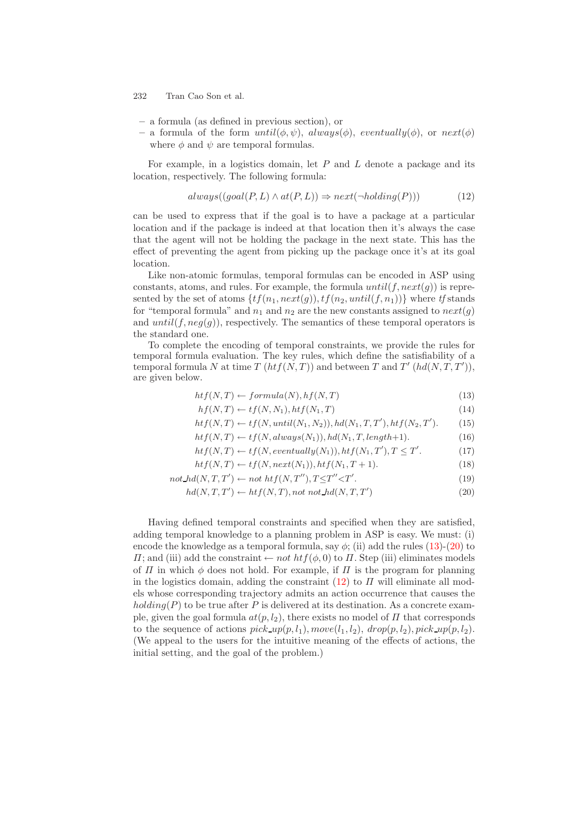- **–** a formula (as defined in previous section), or
- $-$  a formula of the form  $until(\phi, \psi)$ ,  $always(\phi)$ , eventually( $\phi$ ), or  $next(\phi)$ where  $\phi$  and  $\psi$  are temporal formulas.

<span id="page-6-1"></span>For example, in a logistics domain, let  $P$  and  $L$  denote a package and its location, respectively. The following formula:

$$
always((goal(P, L) \land at(P, L)) \Rightarrow next(\neg holding(P)))\tag{12}
$$

can be used to express that if the goal is to have a package at a particular location and if the package is indeed at that location then it's always the case that the agent will not be holding the package in the next state. This has the effect of preventing the agent from picking up the package once it's at its goal location.

Like non-atomic formulas, temporal formulas can be encoded in ASP using constants, atoms, and rules. For example, the formula  $until(f, next(g))$  is represented by the set of atoms  $\{tf(n_1, next(q)), tf(n_2, until(f, n_1))\}$  where *tf* stands for "temporal formula" and  $n_1$  and  $n_2$  are the new constants assigned to  $next(q)$ and until(f, neg(g)), respectively. The semantics of these temporal operators is the standard one.

<span id="page-6-0"></span>To complete the encoding of temporal constraints, we provide the rules for temporal formula evaluation. The key rules, which define the satisfiability of a temporal formula N at time T  $(htf(N,T))$  and between T and T'  $(hd(N,T,T'))$ , are given below.

$$
htf(N,T) \leftarrow formula(N), hf(N,T) \tag{13}
$$

$$
hf(N,T) \leftarrow tf(N,N_1), htf(N_1,T) \tag{14}
$$

$$
htf(N,T) \leftarrow tf(N, until(N_1, N_2)), hd(N_1, T, T'), htf(N_2, T'). \tag{15}
$$

$$
htf(N,T) \leftarrow tf(N, always(N_1)), hd(N_1, T, length+1). \tag{16}
$$

$$
htf(N,T) \leftarrow tf(N, eventually(N_1)), htf(N_1, T'), T \leq T'. \tag{17}
$$

$$
htf(N,T) \leftarrow tf(N, next(N_1)), htf(N_1, T+1). \tag{18}
$$

$$
not\_hd(N, T, T') \leftarrow not\ htf(N, T''), T \leq T'' < T'.
$$
\n
$$
(19)
$$

$$
hd(N, T, T') \leftarrow htf(N, T), not not\_hd(N, T, T')
$$
\n(20)

Having defined temporal constraints and specified when they are satisfied, adding temporal knowledge to a planning problem in ASP is easy. We must: (i) encode the knowledge as a temporal formula, say  $\phi$ ; (ii) add the rules [\(13\)](#page-6-0)-[\(20\)](#page-6-0) to  $\Pi$ ; and (iii) add the constraint  $\leftarrow$  not  $htf(\phi,0)$  to  $\Pi$ . Step (iii) eliminates models of  $\Pi$  in which  $\phi$  does not hold. For example, if  $\Pi$  is the program for planning in the logistics domain, adding the constraint  $(12)$  to  $\Pi$  will eliminate all models whose corresponding trajectory admits an action occurrence that causes the  $holding(P)$  to be true after P is delivered at its destination. As a concrete example, given the goal formula  $at(p, l_2)$ , there exists no model of  $\Pi$  that corresponds to the sequence of actions  $pick\_up(p, l_1), move(l_1, l_2), drop(p, l_2), pick\_up(p, l_2).$ (We appeal to the users for the intuitive meaning of the effects of actions, the initial setting, and the goal of the problem.)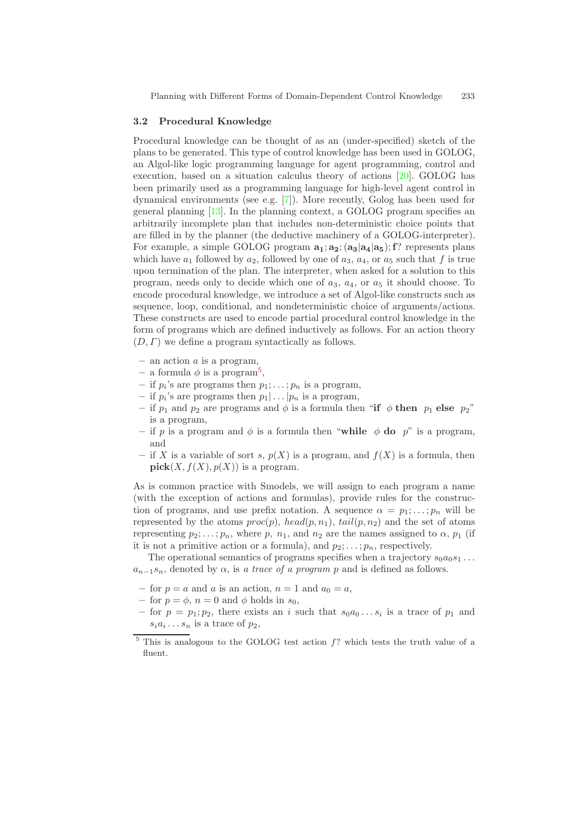#### <span id="page-7-2"></span><span id="page-7-1"></span>**3.2 Procedural Knowledge**

Procedural knowledge can be thought of as an (under-specified) sketch of the plans to be generated. This type of control knowledge has been used in GOLOG, an Algol-like logic programming language for agent programming, control and execution, based on a situation calculus theory of actions [\[20\]](#page-13-7). GOLOG has been primarily used as a programming language for high-level agent control in dynamical environments (see e.g. [\[7\]](#page-12-9)). More recently, Golog has been used for general planning [\[13\]](#page-13-15). In the planning context, a GOLOG program specifies an arbitrarily incomplete plan that includes non-deterministic choice points that are filled in by the planner (the deductive machinery of a GOLOG-interpreter). For example, a simple GOLOG program **a1**; **a2**; (**a3**|**a4**|**a5**);**f**? represents plans which have  $a_1$  followed by  $a_2$ , followed by one of  $a_3$ ,  $a_4$ , or  $a_5$  such that f is true upon termination of the plan. The interpreter, when asked for a solution to this program, needs only to decide which one of  $a_3$ ,  $a_4$ , or  $a_5$  it should choose. To encode procedural knowledge, we introduce a set of Algol-like constructs such as sequence, loop, conditional, and nondeterministic choice of arguments/actions. These constructs are used to encode partial procedural control knowledge in the form of programs which are defined inductively as follows. For an action theory  $(D, \Gamma)$  we define a program syntactically as follows.

- **–** an action a is a program,
- $-$  a formula  $\phi$  is a program<sup>[5](#page-7-0)</sup>,
- $-$  if  $p_i$ 's are programs then  $p_1; \ldots; p_n$  is a program,
- $-$  if  $p_i$ 's are programs then  $p_1 | \dots | p_n$  is a program,
- $-$  if  $p_1$  and  $p_2$  are programs and  $\phi$  is a formula then "**if**  $\phi$  **then**  $p_1$  **else**  $p_2$ " is a program,
- $-$  if p is a program and  $\phi$  is a formula then "while  $\phi$  **do** p" is a program, and
- <span id="page-7-0"></span>– if X is a variable of sort s,  $p(X)$  is a program, and  $f(X)$  is a formula, then  $\text{pick}(X, f(X), p(X))$  is a program.

As is common practice with Smodels, we will assign to each program a name (with the exception of actions and formulas), provide rules for the construction of programs, and use prefix notation. A sequence  $\alpha = p_1; \ldots; p_n$  will be represented by the atoms  $proc(p), head(p, n_1), tail(p, n_2)$  and the set of atoms representing  $p_2; \ldots; p_n$ , where p,  $n_1$ , and  $n_2$  are the names assigned to  $\alpha$ ,  $p_1$  (if it is not a primitive action or a formula), and  $p_2; \ldots; p_n$ , respectively.

The operational semantics of programs specifies when a trajectory  $s_0a_0s_1 \ldots$  $a_{n-1}s_n$ , denoted by  $\alpha$ , is *a trace of a program* p and is defined as follows.

- for  $p = a$  and a is an action,  $n = 1$  and  $a_0 = a$ ,
- for  $p = \phi$ ,  $n = 0$  and  $\phi$  holds in  $s_0$ ,
- for  $p = p_1; p_2$ , there exists an i such that  $s_0a_0...s_i$  is a trace of  $p_1$  and  $s_i a_i \ldots s_n$  is a trace of  $p_2$ ,

 $5$  This is analogous to the GOLOG test action  $f$ ? which tests the truth value of a fluent.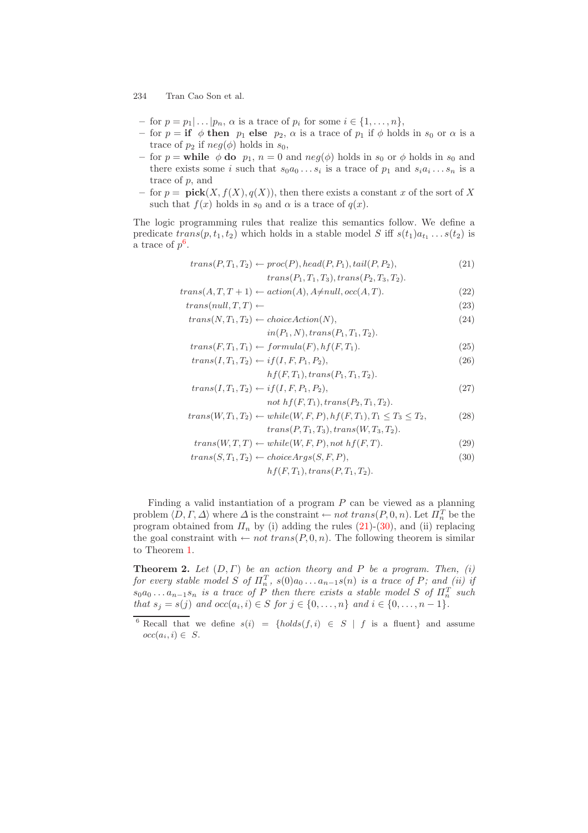- $-$  for  $p = p_1 | \dots | p_n$ ,  $\alpha$  is a trace of  $p_i$  for some  $i \in \{1, \dots, n\}$ ,
- **–** for  $p = \textbf{if } \phi \textbf{ then } p_1 \textbf{ else } p_2, \alpha \textbf{ is a trace of } p_1 \textbf{ if } \phi \textbf{ holds in } s_0 \textbf{ or } \alpha \textbf{ is a }$ trace of  $p_2$  if  $neg(\phi)$  holds in  $s_0$ ,
- **–** for  $p =$ **while**  $\phi$  **do**  $p_1$ ,  $n = 0$  and  $neg(\phi)$  holds in  $s_0$  or  $\phi$  holds in  $s_0$  and there exists some *i* such that  $s_0a_0 \ldots s_i$  is a trace of  $p_1$  and  $s_ia_i \ldots s_n$  is a trace of p, and
- $-$  for  $p = \text{pick}(X, f(X), q(X))$ , then there exists a constant x of the sort of X such that  $f(x)$  holds in  $s_0$  and  $\alpha$  is a trace of  $q(x)$ .

<span id="page-8-1"></span>The logic programming rules that realize this semantics follow. We define a predicate  $trans(p, t_1, t_2)$  which holds in a stable model S iff  $s(t_1)a_{t_1} \ldots s(t_2)$  is a trace of  $p^6$  $p^6$ .

$$
trans(P, T_1, T_2) \leftarrow proc(P), head(P, P_1), tail(P, P_2),
$$

$$
trans(P_1, T_1, T_3), trans(P_2, T_3, T_2).
$$
 (21)

$$
trans(A, T, T+1) \leftarrow action(A), A \neq null, occ(A, T). \tag{22}
$$

$$
trans(null, T, T) \leftarrow
$$
\n
$$
(23)
$$

$$
trans(N, T_1, T_2) \leftarrow choiceAction(N), \tag{24}
$$

$$
in(P_1, N), trans(P_1, T_1, T_2).
$$

$$
trans(F, T_1, T_1) \leftarrow formula(F), hf(F, T_1). \tag{25}
$$

$$
trans(I, T_1, T_2) \leftarrow if(I, F, P_1, P_2),
$$
\n
$$
(26)
$$

$$
hf(F, T_1)
$$
, trans $(P_1, T_1, T_2)$ .

$$
trans(I, T_1, T_2) \leftarrow if(I, F, P_1, P_2),not hf(F, T_1), trans(P_2, T_1, T_2).
$$
 (27)

$$
trans(W, T_1, T_2) \leftarrow while(W, F, P), hf(F, T_1), T_1 \le T_3 \le T_2,
$$
\n
$$
trans(P, T_1, T_3), trans(W, T_3, T_2).
$$
\n(28)

$$
trans(W, T, T) \leftarrow while(W, F, P), not\ hf(F, T). \tag{29}
$$

$$
trans(S, T_1, T_2) \leftarrow choiceArgs(S, F, P),
$$
\n(30)

$$
hf(F, T_1), trans(P, T_1, T_2).
$$

<span id="page-8-2"></span><span id="page-8-0"></span>Finding a valid instantiation of a program  $P$  can be viewed as a planning problem  $\langle D, \Gamma, \Delta \rangle$  where  $\Delta$  is the constraint  $\leftarrow not \ trans(P, 0, n)$ . Let  $\Pi_n^T$  be the program obtained from  $\Pi_n$  by (i) adding the rules [\(21\)](#page-8-1)-[\(30\)](#page-8-1), and (ii) replacing the goal constraint with  $\leftarrow$  *not trans* $(P, 0, n)$ . The following theorem is similar to Theorem [1.](#page-5-2)

**Theorem 2.** *Let*  $(D, \Gamma)$  *be an action theory and*  $P$  *be a program. Then, (i) for every stable model* S of  $\Pi_n^T$ ,  $s(0)a_0 \ldots a_{n-1}s(n)$  *is a trace of* P; and *(ii) if*  $s_0a_0 \ldots a_{n-1}s_n$  *is a trace of* P *then there exists a stable model* S *of*  $\Pi_n^T$  *such that*  $s_j = s(j)$  *and*  $occ(a_i, i) \in S$  *for*  $j \in \{0, ..., n\}$  *and*  $i \in \{0, ..., n-1\}$ *.* 

<sup>&</sup>lt;sup>6</sup> Recall that we define  $s(i) = \{holds(f, i) \in S \mid f \text{ is a fluent}\}$  and assume  $occ(a_i, i) \in S$ .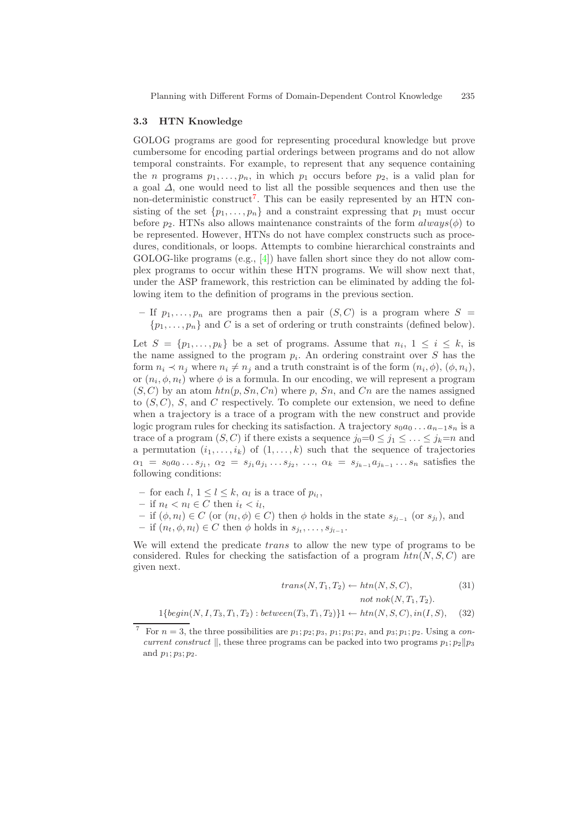#### <span id="page-9-3"></span><span id="page-9-0"></span>**3.3 HTN Knowledge**

GOLOG programs are good for representing procedural knowledge but prove cumbersome for encoding partial orderings between programs and do not allow temporal constraints. For example, to represent that any sequence containing the *n* programs  $p_1, \ldots, p_n$ , in which  $p_1$  occurs before  $p_2$ , is a valid plan for a goal ∆, one would need to list all the possible sequences and then use the non-deterministic construct<sup>[7](#page-9-1)</sup>. This can be easily represented by an HTN consisting of the set  $\{p_1,\ldots,p_n\}$  and a constraint expressing that  $p_1$  must occur before  $p_2$ . HTNs also allows maintenance constraints of the form  $always(\phi)$  to be represented. However, HTNs do not have complex constructs such as procedures, conditionals, or loops. Attempts to combine hierarchical constraints and GOLOG-like programs (e.g., [\[4\]](#page-12-10)) have fallen short since they do not allow complex programs to occur within these HTN programs. We will show next that, under the ASP framework, this restriction can be eliminated by adding the following item to the definition of programs in the previous section.

– If  $p_1, \ldots, p_n$  are programs then a pair  $(S, C)$  is a program where  $S =$  $\{p_1,\ldots,p_n\}$  and C is a set of ordering or truth constraints (defined below).

Let  $S = \{p_1, \ldots, p_k\}$  be a set of programs. Assume that  $n_i, 1 \leq i \leq k$ , is the name assigned to the program  $p_i$ . An ordering constraint over  $S$  has the form  $n_i \prec n_j$  where  $n_i \neq n_j$  and a truth constraint is of the form  $(n_i, \phi)$ ,  $(\phi, n_i)$ , or  $(n_i, \phi, n_t)$  where  $\phi$  is a formula. In our encoding, we will represent a program  $(S, C)$  by an atom  $htn(p, Sn, Cn)$  where p, Sn, and Cn are the names assigned to  $(S, C)$ , S, and C respectively. To complete our extension, we need to define when a trajectory is a trace of a program with the new construct and provide logic program rules for checking its satisfaction. A trajectory  $s_0a_0 \ldots a_{n-1}s_n$  is a trace of a program  $(S, C)$  if there exists a sequence  $j_0=0 \leq j_1 \leq \ldots \leq j_k=n$  and a permutation  $(i_1, \ldots, i_k)$  of  $(1, \ldots, k)$  such that the sequence of trajectories  $\alpha_1 = s_0 a_0 \dots s_{j_1}, \ \alpha_2 = s_{j_1} a_{j_1} \dots s_{j_2}, \ \dots, \ \alpha_k = s_{j_{k-1}} a_{j_{k-1}} \dots s_n$  satisfies the following conditions:

- <span id="page-9-1"></span> $-$  for each  $l, 1 \leq l \leq k, \alpha_l$  is a trace of  $p_i$ ,
- **–** if n*<sup>t</sup>* < n*<sup>l</sup>* ∈ C then i*<sup>t</sup>* < i*l*,
- $-$  if  $(φ, n_l) ∈ C$  (or  $(n_l, φ) ∈ C$ ) then *φ* holds in the state  $s_{i_l-1}$  (or  $s_{i_l}$ ), and
- $-$  if  $(n_t, \phi, n_l) \in C$  then  $\phi$  holds in  $s_{j_t}, \ldots, s_{j_{l-1}}$ .

<span id="page-9-2"></span>We will extend the predicate trans to allow the new type of programs to be considered. Rules for checking the satisfaction of a program  $htn(N, S, C)$  are given next.

$$
trans(N, T_1, T_2) \leftarrow htn(N, S, C),
$$
\n
$$
not \ nok(N, T_1, T_2).
$$
\n(31)

 $1{begin(N, I, T_3, T_1, T_2): between(T_3, T_1, T_2)}$  +  $htn(N, S, C), in(I, S),$  (32)

<sup>&</sup>lt;sup>7</sup> For  $n = 3$ , the three possibilities are  $p_1$ ;  $p_2$ ;  $p_3$ ,  $p_1$ ;  $p_3$ ;  $p_2$ , and  $p_3$ ;  $p_1$ ;  $p_2$ . Using a *concurrent construct*  $\vert\vert$ , these three programs can be packed into two programs  $p_1$ ;  $p_2\Vert p_3$ and  $p_1$ ;  $p_3$ ;  $p_2$ .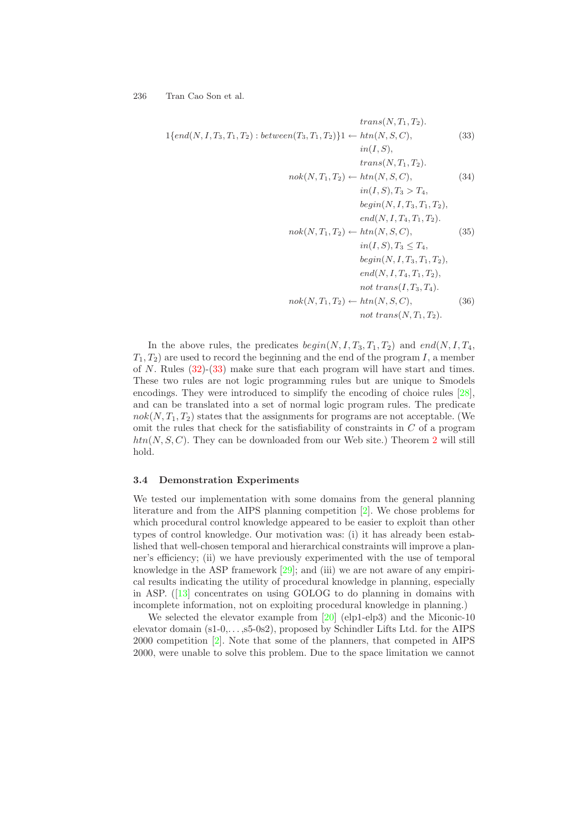<span id="page-10-2"></span><span id="page-10-1"></span>
$$
trans(N, T_1, T_2).
$$
\n
$$
1\{end(N, I, T_3, T_1, T_2): between(T_3, T_1, T_2)\}1 \leftarrow htn(N, S, C),
$$
\n
$$
in(I, S),
$$
\n
$$
trans(N, T_1, T_2).
$$
\n
$$
nok(N, T_1, T_2) \leftarrow htn(N, S, C),
$$
\n
$$
in(I, S), T_3 > T_4,
$$
\n
$$
begin(N, I, T_3, T_1, T_2),
$$
\n
$$
mod(N, I, T_4, T_1, T_2).
$$
\n
$$
nok(N, T_1, T_2) \leftarrow htn(N, S, C),
$$
\n
$$
in(I, S), T_3 \leq T_4,
$$
\n
$$
begin(N, I, T_3, T_1, T_2),
$$
\n
$$
end(N, I, T_3, T_1, T_2),
$$
\n
$$
end(N, I, T_4, T_1, T_2),
$$
\n
$$
not trans(I, T_3, T_4).
$$
\n
$$
nok(N, T_1, T_2) \leftarrow htn(N, S, C),
$$
\n
$$
not trans(N, T_1, T_2).
$$
\n(36)\n
$$
not trans(N, T_1, T_2).
$$

In the above rules, the predicates  $begin(N, I, T_3, T_1, T_2)$  and end(N, I,  $T_4$ ,  $T_1, T_2$  are used to record the beginning and the end of the program I, a member of N. Rules  $(32)-(33)$  $(32)-(33)$  $(32)-(33)$  make sure that each program will have start and times. These two rules are not logic programming rules but are unique to Smodels encodings. They were introduced to simplify the encoding of choice rules  $[28]$ , and can be translated into a set of normal logic program rules. The predicate  $nok(N, T_1, T_2)$  states that the assignments for programs are not acceptable. (We omit the rules that check for the satisfiability of constraints in  $C$  of a program  $htn(N, S, C)$ . They can be downloaded from our Web site.) Theorem [2](#page-8-2) will still hold.

#### <span id="page-10-0"></span>**3.4 Demonstration Experiments**

We tested our implementation with some domains from the general planning literature and from the AIPS planning competition [\[2\]](#page-12-11). We chose problems for which procedural control knowledge appeared to be easier to exploit than other types of control knowledge. Our motivation was: (i) it has already been established that well-chosen temporal and hierarchical constraints will improve a planner's efficiency; (ii) we have previously experimented with the use of temporal knowledge in the ASP framework  $[29]$ ; and (iii) we are not aware of any empirical results indicating the utility of procedural knowledge in planning, especially in ASP. ([\[13\]](#page-13-18) concentrates on using GOLOG to do planning in domains with incomplete information, not on exploiting procedural knowledge in planning.)

We selected the elevator example from [\[20\]](#page-13-19) (elp1-elp3) and the Miconic-10 elevator domain (s1-0,. . . ,s5-0s2), proposed by Schindler Lifts Ltd. for the AIPS 2000 competition [\[2\]](#page-12-11). Note that some of the planners, that competed in AIPS 2000, were unable to solve this problem. Due to the space limitation we cannot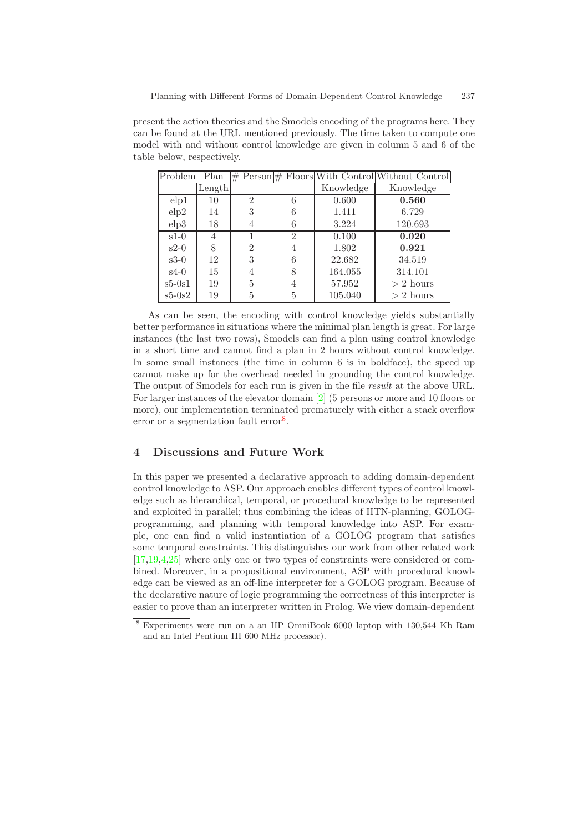<span id="page-11-3"></span><span id="page-11-2"></span>present the action theories and the Smodels encoding of the programs here. They can be found at the URL mentioned previously. The time taken to compute one model with and without control knowledge are given in column 5 and 6 of the table below, respectively.

| Problem  | Plan   |                |                |           | $#$ Person $#$ Floors With Control Without Control |
|----------|--------|----------------|----------------|-----------|----------------------------------------------------|
|          | Length |                |                | Knowledge | Knowledge                                          |
| elp1     | 10     | $\overline{2}$ | 6              | 0.600     | 0.560                                              |
| elp2     | 14     | 3              | 6              | 1.411     | 6.729                                              |
| elp3     | 18     | $\overline{4}$ | 6              | 3.224     | 120.693                                            |
| $s1-0$   | 4      |                | $\overline{2}$ | 0.100     | 0.020                                              |
| $s2-0$   | 8      | $\overline{2}$ | 4              | 1.802     | 0.921                                              |
| $s3-0$   | 12     | 3              | 6              | 22.682    | 34.519                                             |
| $s4-0$   | 15     | 4              | 8              | 164.055   | 314.101                                            |
| $s5-0s1$ | 19     | 5              | 4              | 57.952    | $> 2$ hours                                        |
| $s5-0s2$ | 19     | 5              | 5              | 105.040   | $> 2$ hours                                        |

As can be seen, the encoding with control knowledge yields substantially better performance in situations where the minimal plan length is great. For large instances (the last two rows), Smodels can find a plan using control knowledge in a short time and cannot find a plan in 2 hours without control knowledge. In some small instances (the time in column 6 is in boldface), the speed up cannot make up for the overhead needed in grounding the control knowledge. The output of Smodels for each run is given in the file *result* at the above URL. For larger instances of the elevator domain [\[2\]](#page-12-8) (5 persons or more and 10 floors or more), our implementation terminated prematurely with either a stack overflow error or a segmentation fault  $error<sup>8</sup>$  $error<sup>8</sup>$  $error<sup>8</sup>$ .

# <span id="page-11-1"></span><span id="page-11-0"></span>**4 Discussions and Future Work**

In this paper we presented a declarative approach to adding domain-dependent control knowledge to ASP. Our approach enables different types of control knowledge such as hierarchical, temporal, or procedural knowledge to be represented and exploited in parallel; thus combining the ideas of HTN-planning, GOLOGprogramming, and planning with temporal knowledge into ASP. For example, one can find a valid instantiation of a GOLOG program that satisfies some temporal constraints. This distinguishes our work from other related work [\[17](#page-13-20)[,19](#page-13-21)[,4,](#page-12-10)[25\]](#page-13-22) where only one or two types of constraints were considered or combined. Moreover, in a propositional environment, ASP with procedural knowledge can be viewed as an off-line interpreter for a GOLOG program. Because of the declarative nature of logic programming the correctness of this interpreter is easier to prove than an interpreter written in Prolog. We view domain-dependent

<sup>8</sup> Experiments were run on a an HP OmniBook 6000 laptop with 130,544 Kb Ram and an Intel Pentium III 600 MHz processor).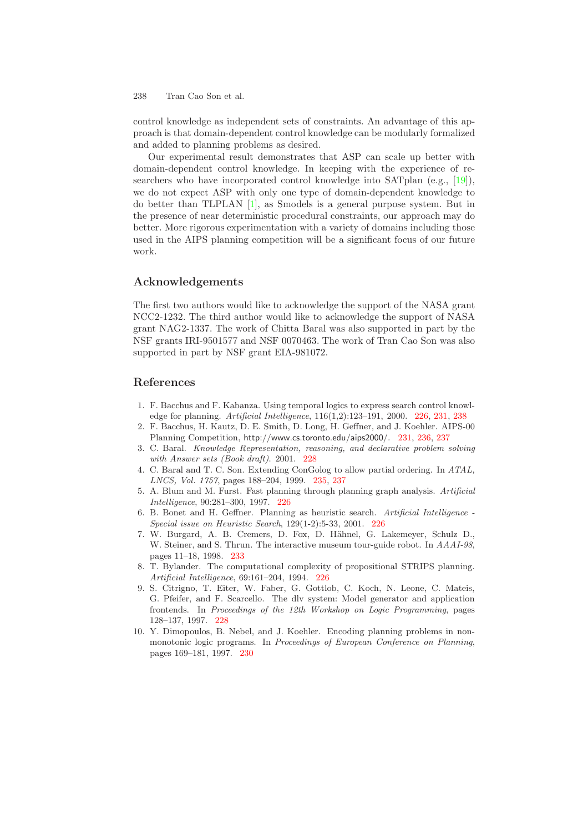<span id="page-12-13"></span><span id="page-12-12"></span>control knowledge as independent sets of constraints. An advantage of this approach is that domain-dependent control knowledge can be modularly formalized and added to planning problems as desired.

Our experimental result demonstrates that ASP can scale up better with domain-dependent control knowledge. In keeping with the experience of researchers who have incorporated control knowledge into SATplan (e.g., [\[19\]](#page-13-23)), we do not expect ASP with only one type of domain-dependent knowledge to do better than TLPLAN [\[1\]](#page-12-3), as Smodels is a general purpose system. But in the presence of near deterministic procedural constraints, our approach may do better. More rigorous experimentation with a variety of domains including those used in the AIPS planning competition will be a significant focus of our future work.

## **Acknowledgements**

The first two authors would like to acknowledge the support of the NASA grant NCC2-1232. The third author would like to acknowledge the support of NASA grant NAG2-1337. The work of Chitta Baral was also supported in part by the NSF grants IRI-9501577 and NSF 0070463. The work of Tran Cao Son was also supported in part by NSF grant EIA-981072.

# <span id="page-12-11"></span><span id="page-12-7"></span><span id="page-12-3"></span>**References**

- <span id="page-12-8"></span>1. F. Bacchus and F. Kabanza. Using temporal logics to express search control knowledge for planning. *Artificial Intelligence*, 116(1,2):123–191, 2000. [226,](#page-0-0) [231,](#page-5-3) [238](#page-12-12)
- <span id="page-12-4"></span>2. F. Bacchus, H. Kautz, D. E. Smith, D. Long, H. Geffner, and J. Koehler. AIPS-00 Planning Competition, http://www.cs.toronto.edu/aips2000/. [231,](#page-5-3) [236,](#page-10-1) [237](#page-11-2)
- <span id="page-12-10"></span>3. C. Baral. *Knowledge Representation, reasoning, and declarative problem solving with Answer sets (Book draft)*. 2001. [228](#page-2-3)
- <span id="page-12-2"></span>4. C. Baral and T. C. Son. Extending ConGolog to allow partial ordering. In *ATAL, LNCS, Vol. 1757*, pages 188–204, 1999. [235,](#page-9-3) [237](#page-11-2)
- <span id="page-12-1"></span>5. A. Blum and M. Furst. Fast planning through planning graph analysis. *Artificial Intelligence*, 90:281–300, 1997. [226](#page-0-0)
- <span id="page-12-9"></span>6. B. Bonet and H. Geffner. Planning as heuristic search. *Artificial Intelligence - Special issue on Heuristic Search*, 129(1-2):5-33, 2001. [226](#page-0-0)
- <span id="page-12-0"></span>7. W. Burgard, A. B. Cremers, D. Fox, D. Hähnel, G. Lakemeyer, Schulz D., W. Steiner, and S. Thrun. The interactive museum tour-guide robot. In *AAAI-98*, pages 11–18, 1998. [233](#page-7-1)
- <span id="page-12-5"></span>8. T. Bylander. The computational complexity of propositional STRIPS planning. *Artificial Intelligence*, 69:161–204, 1994. [226](#page-0-0)
- 9. S. Citrigno, T. Eiter, W. Faber, G. Gottlob, C. Koch, N. Leone, C. Mateis, G. Pfeifer, and F. Scarcello. The dlv system: Model generator and application frontends. In *Proceedings of the 12th Workshop on Logic Programming*, pages 128–137, 1997. [228](#page-2-3)
- <span id="page-12-6"></span>10. Y. Dimopoulos, B. Nebel, and J. Koehler. Encoding planning problems in nonmonotonic logic programs. In *Proceedings of European Conference on Planning*, pages 169–181, 1997. [230](#page-4-2)